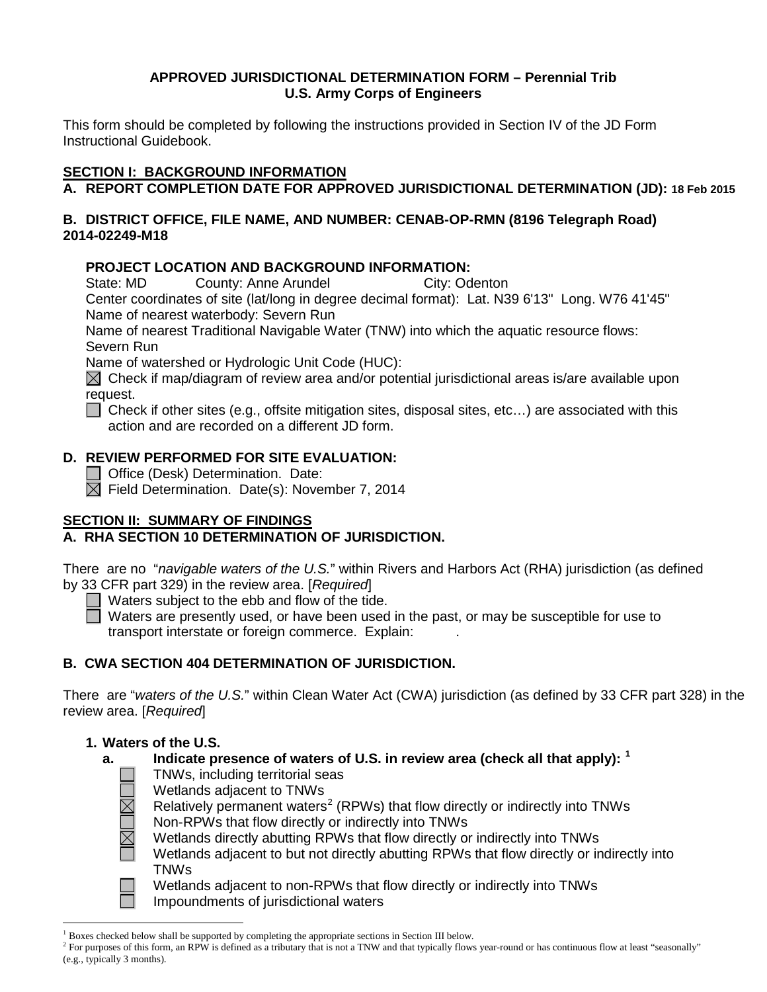# **APPROVED JURISDICTIONAL DETERMINATION FORM – Perennial Trib U.S. Army Corps of Engineers**

This form should be completed by following the instructions provided in Section IV of the JD Form Instructional Guidebook.

# **SECTION I: BACKGROUND INFORMATION**

```
A. REPORT COMPLETION DATE FOR APPROVED JURISDICTIONAL DETERMINATION (JD): 18 Feb 2015
```
# **B. DISTRICT OFFICE, FILE NAME, AND NUMBER: CENAB-OP-RMN (8196 Telegraph Road) 2014-02249-M18**

# **PROJECT LOCATION AND BACKGROUND INFORMATION:**

State: MD County: Anne Arundel City: Odenton

Center coordinates of site (lat/long in degree decimal format): Lat. N39 6'13" Long. W76 41'45" Name of nearest waterbody: Severn Run

Name of nearest Traditional Navigable Water (TNW) into which the aquatic resource flows: Severn Run

Name of watershed or Hydrologic Unit Code (HUC):

 $\boxtimes$  Check if map/diagram of review area and/or potential jurisdictional areas is/are available upon request.

■ Check if other sites (e.g., offsite mitigation sites, disposal sites, etc...) are associated with this action and are recorded on a different JD form.

# **D. REVIEW PERFORMED FOR SITE EVALUATION:**

**Office (Desk) Determination. Date:** 

 $\boxtimes$  Field Determination. Date(s): November 7, 2014

# **SECTION II: SUMMARY OF FINDINGS**

# **A. RHA SECTION 10 DETERMINATION OF JURISDICTION.**

There are no "*navigable waters of the U.S.*" within Rivers and Harbors Act (RHA) jurisdiction (as defined by 33 CFR part 329) in the review area. [*Required*]

 $\Box$  Waters subject to the ebb and flow of the tide.

Waters are presently used, or have been used in the past, or may be susceptible for use to transport interstate or foreign commerce. Explain: .

# **B. CWA SECTION 404 DETERMINATION OF JURISDICTION.**

There are "*waters of the U.S.*" within Clean Water Act (CWA) jurisdiction (as defined by 33 CFR part 328) in the review area. [*Required*]

# **1. Waters of the U.S.**

# **a. Indicate presence of waters of U.S. in review area (check all that apply): [1](#page-0-0)**

- TNWs, including territorial seas
- Wetlands adjacent to TNWs
- Relatively permanent waters<sup>[2](#page-0-1)</sup> (RPWs) that flow directly or indirectly into TNWs Non-RPWs that flow directly or indirectly into TNWs
- Wetlands directly abutting RPWs that flow directly or indirectly into TNWs
- Wetlands adjacent to but not directly abutting RPWs that flow directly or indirectly into TNWs

Wetlands adjacent to non-RPWs that flow directly or indirectly into TNWs Impoundments of jurisdictional waters

 <sup>1</sup> Boxes checked below shall be supported by completing the appropriate sections in Section III below.

<span id="page-0-1"></span><span id="page-0-0"></span> $2^2$  For purposes of this form, an RPW is defined as a tributary that is not a TNW and that typically flows year-round or has continuous flow at least "seasonally" (e.g., typically 3 months).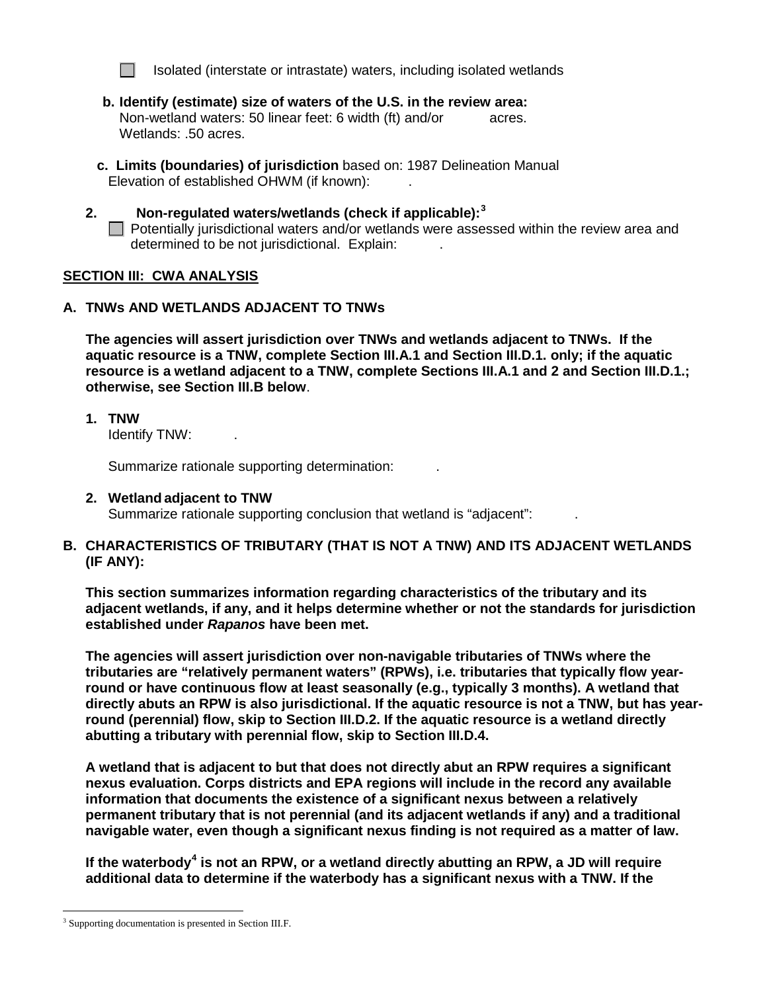

Isolated (interstate or intrastate) waters, including isolated wetlands

- **b. Identify (estimate) size of waters of the U.S. in the review area:** Non-wetland waters: 50 linear feet: 6 width (ft) and/or acres. Wetlands: .50 acres.
- **c. Limits (boundaries) of jurisdiction** based on: 1987 Delineation Manual Elevation of established OHWM (if known): .
- **2. Non-regulated waters/wetlands (check if applicable): [3](#page-1-0)**  $\Box$  Potentially jurisdictional waters and/or wetlands were assessed within the review area and determined to be not jurisdictional. Explain: .

#### **SECTION III: CWA ANALYSIS**

#### **A. TNWs AND WETLANDS ADJACENT TO TNWs**

**The agencies will assert jurisdiction over TNWs and wetlands adjacent to TNWs. If the aquatic resource is a TNW, complete Section III.A.1 and Section III.D.1. only; if the aquatic resource is a wetland adjacent to a TNW, complete Sections III.A.1 and 2 and Section III.D.1.; otherwise, see Section III.B below**.

**1. TNW** 

Identify TNW: .

Summarize rationale supporting determination: .

#### **2. Wetland adjacent to TNW**

Summarize rationale supporting conclusion that wetland is "adjacent":

### **B. CHARACTERISTICS OF TRIBUTARY (THAT IS NOT A TNW) AND ITS ADJACENT WETLANDS (IF ANY):**

**This section summarizes information regarding characteristics of the tributary and its adjacent wetlands, if any, and it helps determine whether or not the standards for jurisdiction established under** *Rapanos* **have been met.** 

**The agencies will assert jurisdiction over non-navigable tributaries of TNWs where the tributaries are "relatively permanent waters" (RPWs), i.e. tributaries that typically flow yearround or have continuous flow at least seasonally (e.g., typically 3 months). A wetland that directly abuts an RPW is also jurisdictional. If the aquatic resource is not a TNW, but has yearround (perennial) flow, skip to Section III.D.2. If the aquatic resource is a wetland directly abutting a tributary with perennial flow, skip to Section III.D.4.** 

**A wetland that is adjacent to but that does not directly abut an RPW requires a significant nexus evaluation. Corps districts and EPA regions will include in the record any available information that documents the existence of a significant nexus between a relatively permanent tributary that is not perennial (and its adjacent wetlands if any) and a traditional navigable water, even though a significant nexus finding is not required as a matter of law.**

**If the waterbody[4](#page-1-1) is not an RPW, or a wetland directly abutting an RPW, a JD will require additional data to determine if the waterbody has a significant nexus with a TNW. If the** 

<span id="page-1-1"></span><span id="page-1-0"></span><sup>&</sup>lt;sup>3</sup> Supporting documentation is presented in Section III.F.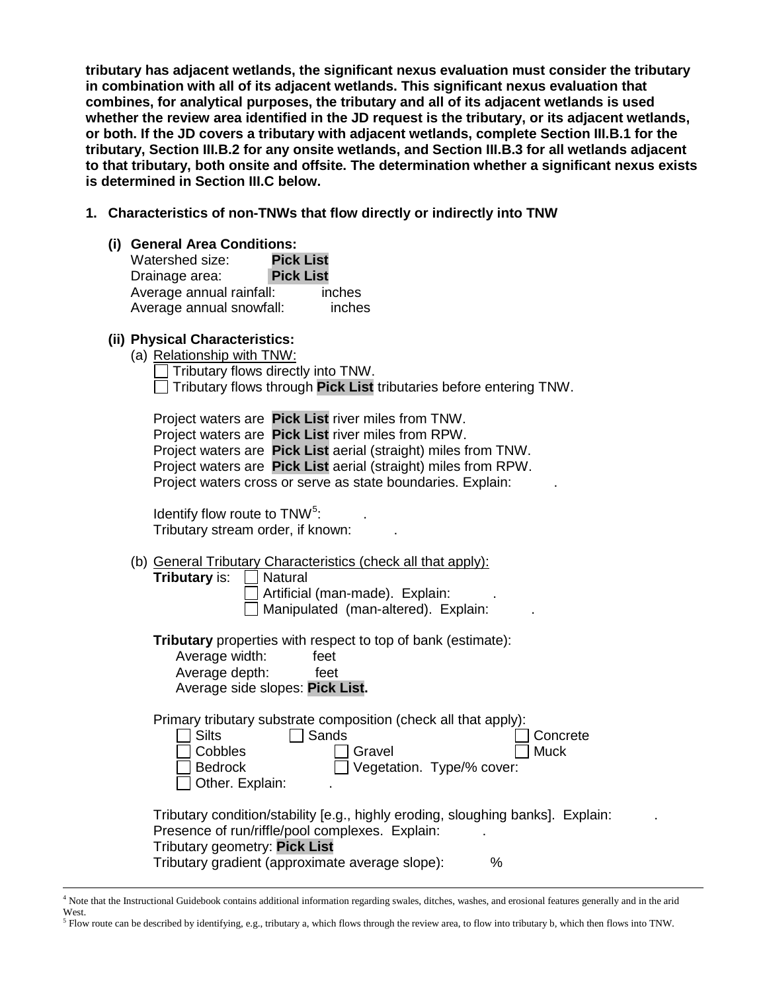**tributary has adjacent wetlands, the significant nexus evaluation must consider the tributary in combination with all of its adjacent wetlands. This significant nexus evaluation that combines, for analytical purposes, the tributary and all of its adjacent wetlands is used whether the review area identified in the JD request is the tributary, or its adjacent wetlands, or both. If the JD covers a tributary with adjacent wetlands, complete Section III.B.1 for the tributary, Section III.B.2 for any onsite wetlands, and Section III.B.3 for all wetlands adjacent to that tributary, both onsite and offsite. The determination whether a significant nexus exists is determined in Section III.C below.**

- **1. Characteristics of non-TNWs that flow directly or indirectly into TNW**
	- **(i) General Area Conditions:**

| Watershed size:          | <b>Pick List</b> |        |
|--------------------------|------------------|--------|
| Drainage area:           | <b>Pick List</b> |        |
| Average annual rainfall: |                  | inches |
| Average annual snowfall: |                  | inches |

# **(ii) Physical Characteristics:**

| (a) Relationship with TNW:                                                       |
|----------------------------------------------------------------------------------|
| $\Box$ Tributary flows directly into TNW.                                        |
| $\Box$ Tributary flows through <b>Pick List</b> tributaries before entering TNW. |

|  | Project waters are Pick List river miles from TNW.             |  |
|--|----------------------------------------------------------------|--|
|  | Project waters are Pick List river miles from RPW.             |  |
|  | Project waters are Pick List aerial (straight) miles from TNW. |  |
|  | Project waters are Pick List aerial (straight) miles from RPW. |  |
|  | Project waters cross or serve as state boundaries. Explain:    |  |

Identify flow route to  $TNW<sup>5</sup>$  $TNW<sup>5</sup>$  $TNW<sup>5</sup>$ : : . Tributary stream order, if known: .

- (b) General Tributary Characteristics (check all that apply):
	- **Tributary** is: **Natural**

Artificial (man-made). Explain: . Manipulated (man-altered). Explain:

**Tributary** properties with respect to top of bank (estimate):<br>Average width: feet

| Average width:                  | feet |
|---------------------------------|------|
| Average depth:                  | feet |
| Average side slopes: Pick List. |      |

Primary tributary substrate composition (check all that apply):

| Silts                                    | ∣ I Sands      | Concrete                         |
|------------------------------------------|----------------|----------------------------------|
| $\Box$ Cobbles                           | □ Gravel       | $\Box$ Muck                      |
| $\Box$ Bedrock<br>$\Box$ Other. Explain: |                | $\Box$ Vegetation. Type/% cover: |
|                                          | $\blacksquare$ |                                  |

| Tributary condition/stability [e.g., highly eroding, sloughing banks]. Explain: |  |
|---------------------------------------------------------------------------------|--|
| Presence of run/riffle/pool complexes. Explain:                                 |  |
| Tributary geometry: Pick List                                                   |  |
| Tributary gradient (approximate average slope):<br>%                            |  |

<span id="page-2-0"></span> $<sup>5</sup>$  Flow route can be described by identifying, e.g., tributary a, which flows through the review area, to flow into tributary b, which then flows into TNW.</sup>

 <sup>4</sup> Note that the Instructional Guidebook contains additional information regarding swales, ditches, washes, and erosional features generally and in the arid West.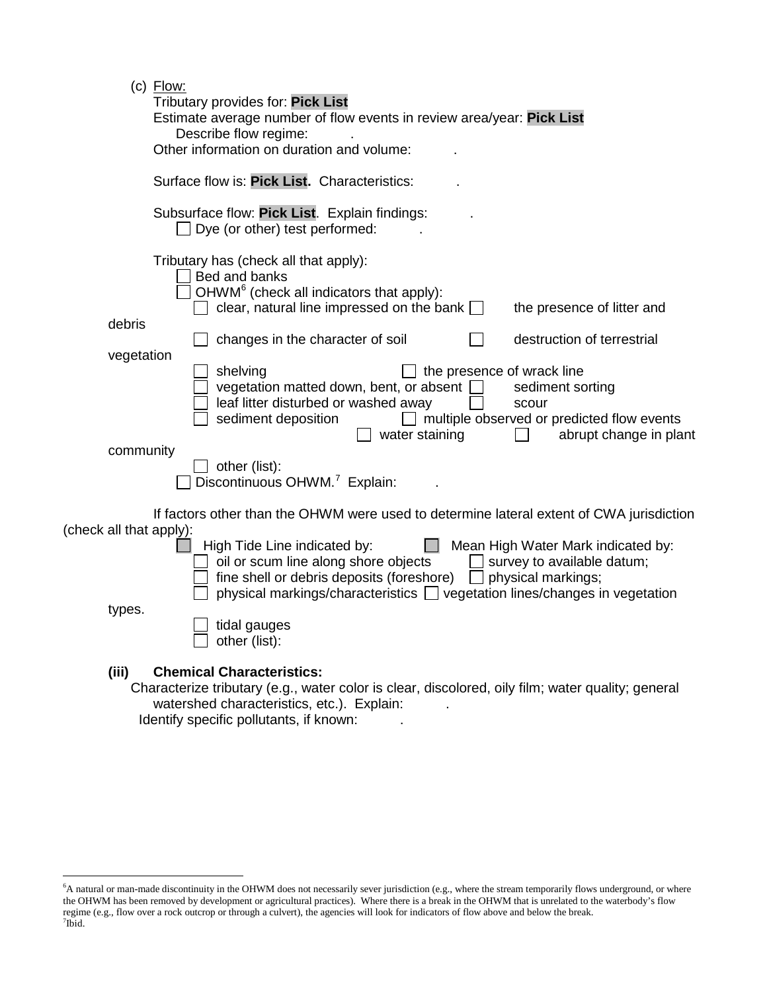| $(c)$ Flow:<br>Tributary provides for: Pick List<br>Estimate average number of flow events in review area/year: Pick List<br>Describe flow regime:<br>Other information on duration and volume:                                                                                                    |
|----------------------------------------------------------------------------------------------------------------------------------------------------------------------------------------------------------------------------------------------------------------------------------------------------|
| Surface flow is: Pick List. Characteristics:                                                                                                                                                                                                                                                       |
| Subsurface flow: Pick List. Explain findings:<br>Dye (or other) test performed:                                                                                                                                                                                                                    |
| Tributary has (check all that apply):<br>Bed and banks<br>OHWM <sup>6</sup> (check all indicators that apply):<br>clear, natural line impressed on the bank $\Box$<br>the presence of litter and                                                                                                   |
| debris<br>destruction of terrestrial<br>changes in the character of soil                                                                                                                                                                                                                           |
| vegetation<br>shelving<br>the presence of wrack line<br>vegetation matted down, bent, or absent<br>sediment sorting<br>leaf litter disturbed or washed away<br>scour<br>multiple observed or predicted flow events<br>sediment deposition<br>water staining<br>abrupt change in plant<br>community |
| other (list):<br>Discontinuous OHWM. <sup>7</sup> Explain:                                                                                                                                                                                                                                         |
| If factors other than the OHWM were used to determine lateral extent of CWA jurisdiction<br>(check all that apply):<br>High Tide Line indicated by:<br>Mean High Water Mark indicated by:                                                                                                          |
| oil or scum line along shore objects<br>survey to available datum;<br>fine shell or debris deposits (foreshore) [<br>$\Box$ physical markings;<br>physical markings/characteristics   vegetation lines/changes in vegetation<br>types.                                                             |
| tidal gauges<br>other (list):                                                                                                                                                                                                                                                                      |
| (iii)<br><b>Chemical Characteristics:</b><br>Characterize tributary (e.g., water color is clear, discolored, oily film; water quality; general<br>watershed characteristics, etc.). Explain:                                                                                                       |

Identify specific pollutants, if known:

<span id="page-3-1"></span><span id="page-3-0"></span> <sup>6</sup> <sup>6</sup>A natural or man-made discontinuity in the OHWM does not necessarily sever jurisdiction (e.g., where the stream temporarily flows underground, or where the OHWM has been removed by development or agricultural practices). Where there is a break in the OHWM that is unrelated to the waterbody's flow regime (e.g., flow over a rock outcrop or through a culvert), the agencies will look for indicators of flow above and below the break. <sup>7</sup>  $7$ Ibid.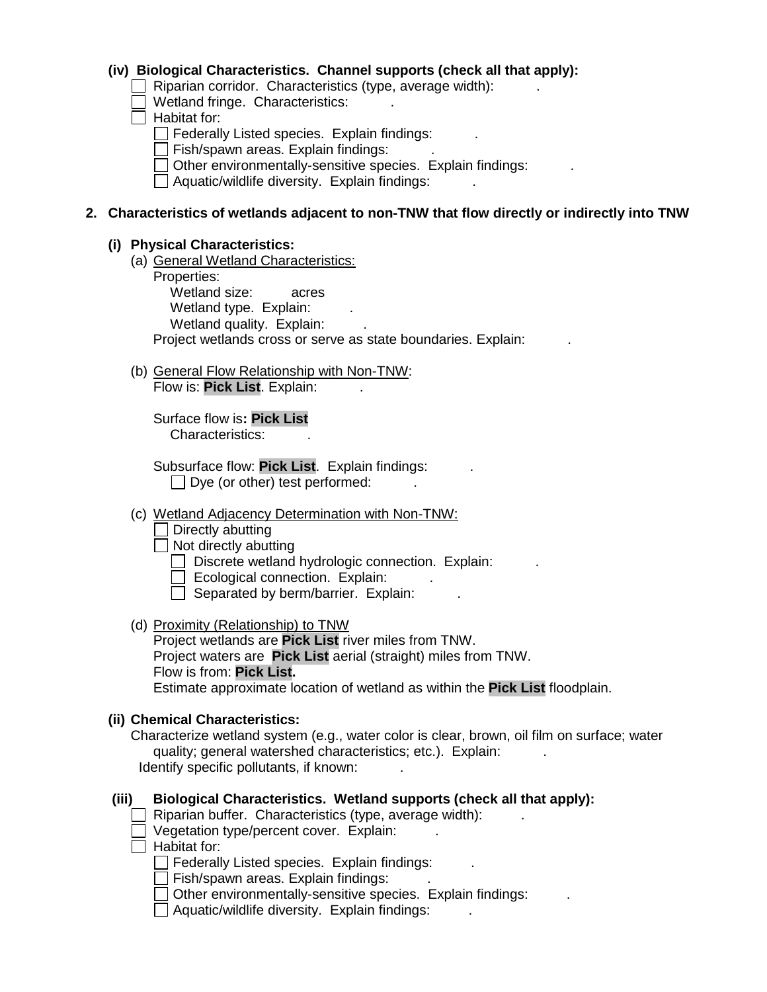### **(iv) Biological Characteristics. Channel supports (check all that apply):**

Riparian corridor. Characteristics (type, average width):

 $\Box$  Wetland fringe. Characteristics:

- $\Box$  Habitat for:
	- $\Box$  Federally Listed species. Explain findings:
	- $\Box$  Fish/spawn areas. Explain findings:
	- $\Box$  Other environmentally-sensitive species. Explain findings:
	- $\Box$  Aquatic/wildlife diversity. Explain findings:

### **2. Characteristics of wetlands adjacent to non-TNW that flow directly or indirectly into TNW**

#### **(i) Physical Characteristics:**

(a) General Wetland Characteristics:

Properties: Wetland size: acres Wetland type. Explain: Wetland quality. Explain: Project wetlands cross or serve as state boundaries. Explain:

(b) General Flow Relationship with Non-TNW: Flow is: **Pick List**. Explain: .

Surface flow is**: Pick List**  Characteristics: .

Subsurface flow: **Pick List**. Explain findings: .  $\Box$  Dye (or other) test performed:

#### (c) Wetland Adjacency Determination with Non-TNW:

 $\Box$  Directly abutting

 $\Box$  Not directly abutting

 $\Box$  Discrete wetland hydrologic connection. Explain:

 $\Box$  Ecological connection. Explain:

- $\Box$  Separated by berm/barrier. Explain:
- (d) Proximity (Relationship) to TNW

Project wetlands are **Pick List** river miles from TNW. Project waters are **Pick List** aerial (straight) miles from TNW. Flow is from: **Pick List.**

Estimate approximate location of wetland as within the **Pick List** floodplain.

## **(ii) Chemical Characteristics:**

Characterize wetland system (e.g., water color is clear, brown, oil film on surface; water quality; general watershed characteristics; etc.). Explain: Identify specific pollutants, if known:

## **(iii) Biological Characteristics. Wetland supports (check all that apply):**

Riparian buffer. Characteristics (type, average width):

 $\Box$  Vegetation type/percent cover. Explain:

 $\Box$  Habitat for:

 $\Box$  Federally Listed species. Explain findings:

 $\Box$  Fish/spawn areas. Explain findings:

 $\Box$  Other environmentally-sensitive species. Explain findings:

 $\Box$  Aquatic/wildlife diversity. Explain findings: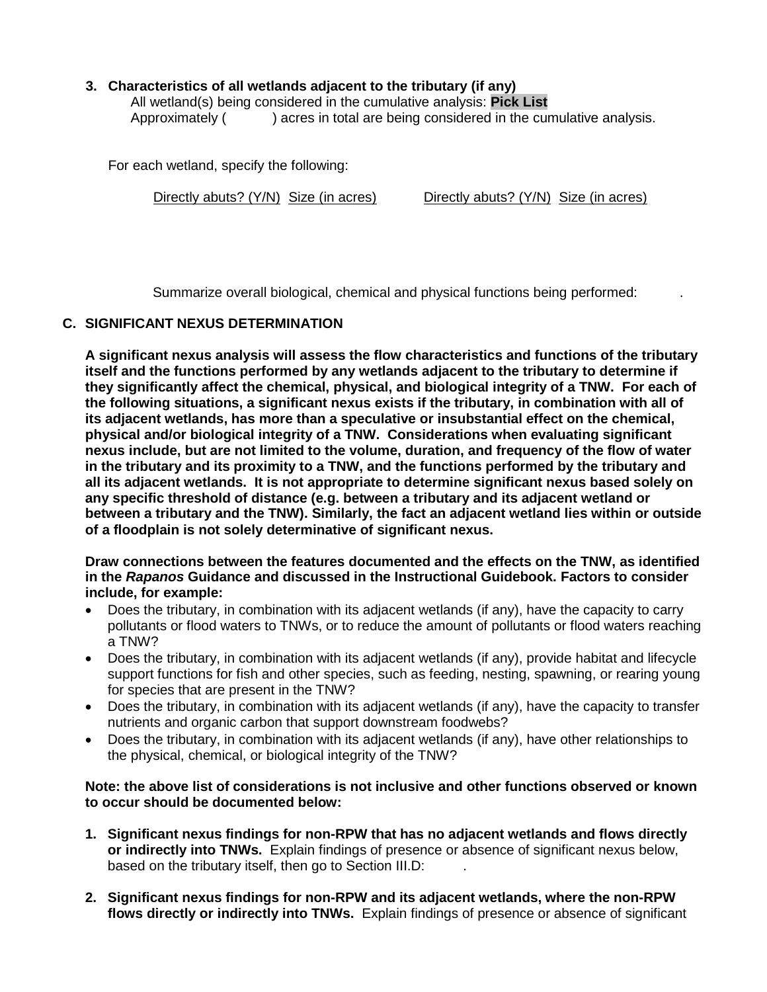# **3. Characteristics of all wetlands adjacent to the tributary (if any)**

All wetland(s) being considered in the cumulative analysis: **Pick List** Approximately ( ) acres in total are being considered in the cumulative analysis.

For each wetland, specify the following:

Directly abuts? (Y/N) Size (in acres) Directly abuts? (Y/N) Size (in acres)

Summarize overall biological, chemical and physical functions being performed: .

## **C. SIGNIFICANT NEXUS DETERMINATION**

**A significant nexus analysis will assess the flow characteristics and functions of the tributary itself and the functions performed by any wetlands adjacent to the tributary to determine if they significantly affect the chemical, physical, and biological integrity of a TNW. For each of the following situations, a significant nexus exists if the tributary, in combination with all of its adjacent wetlands, has more than a speculative or insubstantial effect on the chemical, physical and/or biological integrity of a TNW. Considerations when evaluating significant nexus include, but are not limited to the volume, duration, and frequency of the flow of water in the tributary and its proximity to a TNW, and the functions performed by the tributary and all its adjacent wetlands. It is not appropriate to determine significant nexus based solely on any specific threshold of distance (e.g. between a tributary and its adjacent wetland or between a tributary and the TNW). Similarly, the fact an adjacent wetland lies within or outside of a floodplain is not solely determinative of significant nexus.** 

**Draw connections between the features documented and the effects on the TNW, as identified in the** *Rapanos* **Guidance and discussed in the Instructional Guidebook. Factors to consider include, for example:**

- Does the tributary, in combination with its adjacent wetlands (if any), have the capacity to carry pollutants or flood waters to TNWs, or to reduce the amount of pollutants or flood waters reaching a TNW?
- Does the tributary, in combination with its adjacent wetlands (if any), provide habitat and lifecycle support functions for fish and other species, such as feeding, nesting, spawning, or rearing young for species that are present in the TNW?
- Does the tributary, in combination with its adjacent wetlands (if any), have the capacity to transfer nutrients and organic carbon that support downstream foodwebs?
- Does the tributary, in combination with its adjacent wetlands (if any), have other relationships to the physical, chemical, or biological integrity of the TNW?

**Note: the above list of considerations is not inclusive and other functions observed or known to occur should be documented below:**

- **1. Significant nexus findings for non-RPW that has no adjacent wetlands and flows directly or indirectly into TNWs.** Explain findings of presence or absence of significant nexus below, based on the tributary itself, then go to Section III.D:
- **2. Significant nexus findings for non-RPW and its adjacent wetlands, where the non-RPW flows directly or indirectly into TNWs.** Explain findings of presence or absence of significant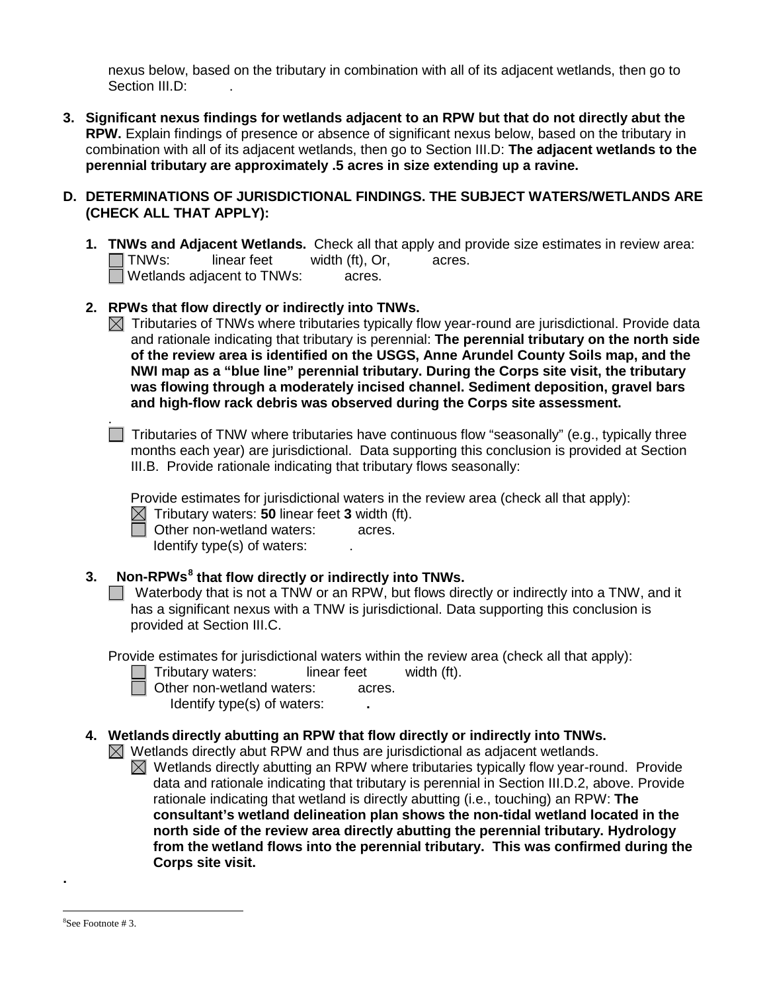nexus below, based on the tributary in combination with all of its adjacent wetlands, then go to Section III.D:

**3. Significant nexus findings for wetlands adjacent to an RPW but that do not directly abut the RPW.** Explain findings of presence or absence of significant nexus below, based on the tributary in combination with all of its adjacent wetlands, then go to Section III.D: **The adjacent wetlands to the perennial tributary are approximately .5 acres in size extending up a ravine.**

## **D. DETERMINATIONS OF JURISDICTIONAL FINDINGS. THE SUBJECT WATERS/WETLANDS ARE (CHECK ALL THAT APPLY):**

**1. <b>TNWs and Adjacent Wetlands.** Check all that apply and provide size estimates in review area:<br>
TNWs: linear feet width (ft). Or. acres.  $I$  linear feet width (ft), Or, acres. Wetlands adjacent to TNWs: acres.

# **2. RPWs that flow directly or indirectly into TNWs.**

 $\boxtimes$  Tributaries of TNWs where tributaries typically flow year-round are jurisdictional. Provide data and rationale indicating that tributary is perennial: **The perennial tributary on the north side of the review area is identified on the USGS, Anne Arundel County Soils map, and the NWI map as a "blue line" perennial tributary. During the Corps site visit, the tributary was flowing through a moderately incised channel. Sediment deposition, gravel bars and high-flow rack debris was observed during the Corps site assessment.** 

 $\Box$  Tributaries of TNW where tributaries have continuous flow "seasonally" (e.g., typically three months each year) are jurisdictional. Data supporting this conclusion is provided at Section III.B. Provide rationale indicating that tributary flows seasonally:

Provide estimates for jurisdictional waters in the review area (check all that apply):

 $\boxtimes$  Tributary waters: **50** linear feet **3** width (ft).

**D** Other non-wetland waters: acres.

Identify type(s) of waters:  $\qquad \qquad$ .

# **3. Non-RPWs[8](#page-6-0) that flow directly or indirectly into TNWs.**

Waterbody that is not a TNW or an RPW, but flows directly or indirectly into a TNW, and it has a significant nexus with a TNW is jurisdictional. Data supporting this conclusion is provided at Section III.C.

Provide estimates for jurisdictional waters within the review area (check all that apply):

- Tributary waters: linear feet width (ft).
- 

.

- **D** Other non-wetland waters: acres. Identify type(s) of waters: **.**
- **4. Wetlands directly abutting an RPW that flow directly or indirectly into TNWs.**

 $\boxtimes$  Wetlands directly abut RPW and thus are jurisdictional as adjacent wetlands.

 $\boxtimes$  Wetlands directly abutting an RPW where tributaries typically flow year-round. Provide data and rationale indicating that tributary is perennial in Section III.D.2, above. Provide rationale indicating that wetland is directly abutting (i.e., touching) an RPW: **The consultant's wetland delineation plan shows the non-tidal wetland located in the north side of the review area directly abutting the perennial tributary. Hydrology from the wetland flows into the perennial tributary. This was confirmed during the Corps site visit.**

<span id="page-6-0"></span>**.**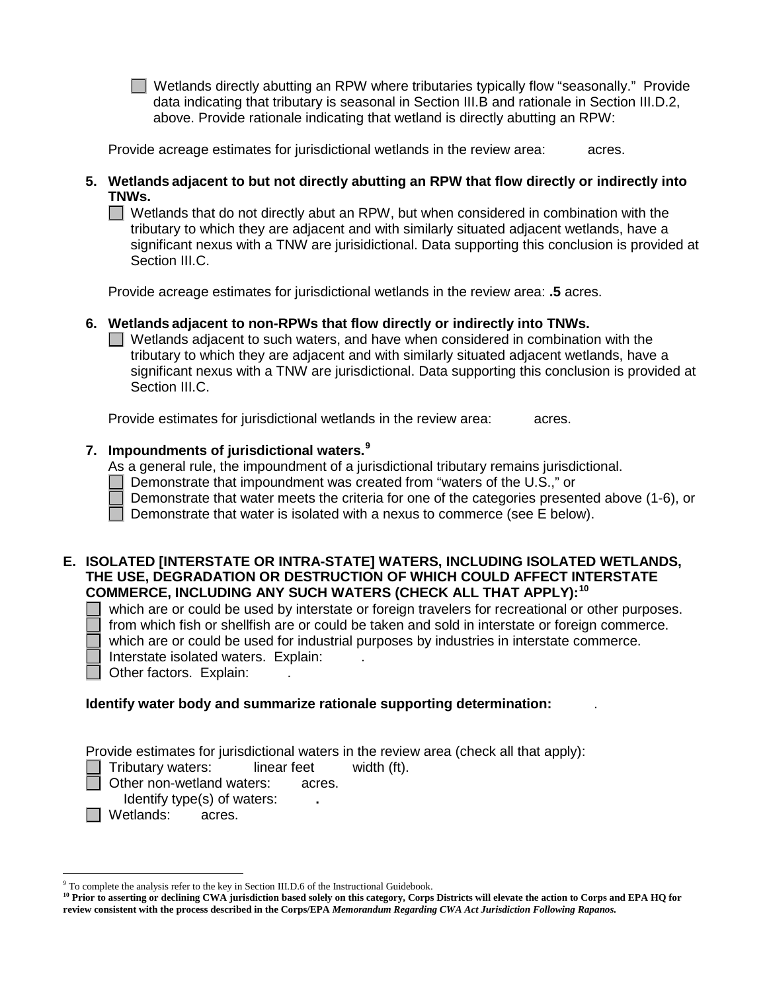Wetlands directly abutting an RPW where tributaries typically flow "seasonally." Provide data indicating that tributary is seasonal in Section III.B and rationale in Section III.D.2, above. Provide rationale indicating that wetland is directly abutting an RPW:

Provide acreage estimates for jurisdictional wetlands in the review area: acres.

**5. Wetlands adjacent to but not directly abutting an RPW that flow directly or indirectly into TNWs.**

 $\Box$  Wetlands that do not directly abut an RPW, but when considered in combination with the tributary to which they are adjacent and with similarly situated adjacent wetlands, have a significant nexus with a TNW are jurisidictional. Data supporting this conclusion is provided at Section III.C.

Provide acreage estimates for jurisdictional wetlands in the review area: **.5** acres.

## **6. Wetlands adjacent to non-RPWs that flow directly or indirectly into TNWs.**

 $\Box$  Wetlands adjacent to such waters, and have when considered in combination with the tributary to which they are adjacent and with similarly situated adjacent wetlands, have a significant nexus with a TNW are jurisdictional. Data supporting this conclusion is provided at Section III.C.

Provide estimates for jurisdictional wetlands in the review area: acres.

# **7. Impoundments of jurisdictional waters. [9](#page-7-0)**

As a general rule, the impoundment of a jurisdictional tributary remains jurisdictional.

- Demonstrate that impoundment was created from "waters of the U.S.," or
- Demonstrate that water meets the criteria for one of the categories presented above (1-6), or

Demonstrate that water is isolated with a nexus to commerce (see E below).

### **E. ISOLATED [INTERSTATE OR INTRA-STATE] WATERS, INCLUDING ISOLATED WETLANDS, THE USE, DEGRADATION OR DESTRUCTION OF WHICH COULD AFFECT INTERSTATE COMMERCE, INCLUDING ANY SUCH WATERS (CHECK ALL THAT APPLY):[10](#page-7-1)**

 which are or could be used by interstate or foreign travelers for recreational or other purposes. from which fish or shellfish are or could be taken and sold in interstate or foreign commerce. which are or could be used for industrial purposes by industries in interstate commerce.

Interstate isolated waters.Explain: .

Other factors. Explain:

## **Identify water body and summarize rationale supporting determination:** .

Provide estimates for jurisdictional waters in the review area (check all that apply):

Tributary waters: linear feet width (ft).

**D** Other non-wetland waters: acres.

Identify type(s) of waters: **.**

□ Wetlands: acres.

<span id="page-7-0"></span> <sup>9</sup> To complete the analysis refer to the key in Section III.D.6 of the Instructional Guidebook.

<span id="page-7-1"></span><sup>&</sup>lt;sup>10</sup> Prior to asserting or declining CWA jurisdiction based solely on this category, Corps Districts will elevate the action to Corps and EPA HQ for **review consistent with the process described in the Corps/EPA** *Memorandum Regarding CWA Act Jurisdiction Following Rapanos.*